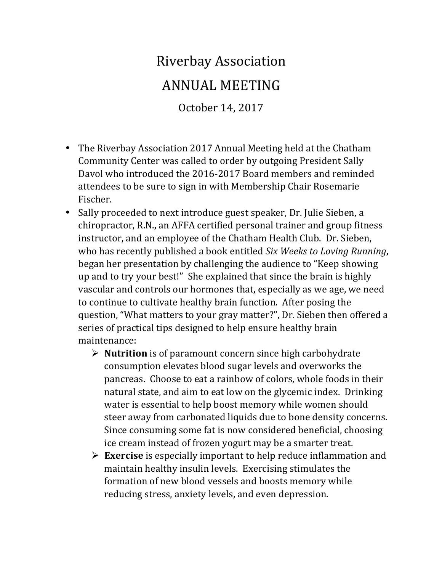## Riverbay Association ANNUAL MEETING

October 14, 2017

- The Riverbay Association 2017 Annual Meeting held at the Chatham Community Center was called to order by outgoing President Sally Davol who introduced the 2016-2017 Board members and reminded attendees to be sure to sign in with Membership Chair Rosemarie Fischer.
- Sally proceeded to next introduce guest speaker, Dr. Julie Sieben, a chiropractor, R.N., an AFFA certified personal trainer and group fitness instructor, and an employee of the Chatham Health Club. Dr. Sieben, who has recently published a book entitled *Six Weeks to Loving Running*, began her presentation by challenging the audience to "Keep showing up and to try your best!" She explained that since the brain is highly vascular and controls our hormones that, especially as we age, we need to continue to cultivate healthy brain function. After posing the question, "What matters to your gray matter?", Dr. Sieben then offered a series of practical tips designed to help ensure healthy brain maintenance:
	- $\triangleright$  **Nutrition** is of paramount concern since high carbohydrate consumption elevates blood sugar levels and overworks the pancreas. Choose to eat a rainbow of colors, whole foods in their natural state, and aim to eat low on the glycemic index. Drinking water is essential to help boost memory while women should steer away from carbonated liquids due to bone density concerns. Since consuming some fat is now considered beneficial, choosing ice cream instead of frozen yogurt may be a smarter treat.
	- $\triangleright$  **Exercise** is especially important to help reduce inflammation and maintain healthy insulin levels. Exercising stimulates the formation of new blood vessels and boosts memory while reducing stress, anxiety levels, and even depression.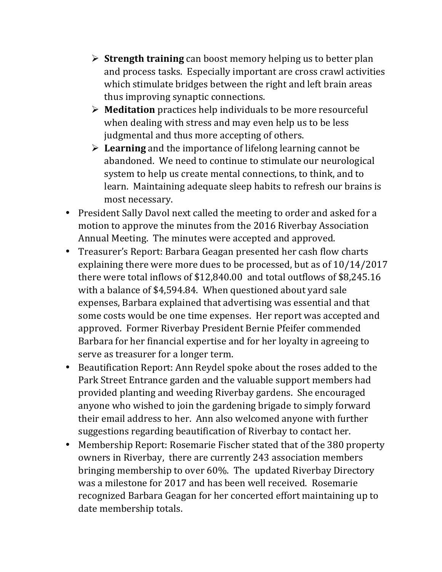- $\triangleright$  **Strength training** can boost memory helping us to better plan and process tasks. Especially important are cross crawl activities which stimulate bridges between the right and left brain areas thus improving synaptic connections.
- $\triangleright$  **Meditation** practices help individuals to be more resourceful when dealing with stress and may even help us to be less judgmental and thus more accepting of others.
- $\triangleright$  **Learning** and the importance of lifelong learning cannot be abandoned. We need to continue to stimulate our neurological system to help us create mental connections, to think, and to learn. Maintaining adequate sleep habits to refresh our brains is most necessary.
- President Sally Davol next called the meeting to order and asked for a motion to approve the minutes from the 2016 Riverbay Association Annual Meeting. The minutes were accepted and approved.
- Treasurer's Report: Barbara Geagan presented her cash flow charts explaining there were more dues to be processed, but as of  $10/14/2017$ there were total inflows of  $$12,840.00$  and total outflows of  $$8,245.16$ with a balance of \$4,594.84. When questioned about yard sale expenses, Barbara explained that advertising was essential and that some costs would be one time expenses. Her report was accepted and approved. Former Riverbay President Bernie Pfeifer commended Barbara for her financial expertise and for her loyalty in agreeing to serve as treasurer for a longer term.
- Beautification Report: Ann Reydel spoke about the roses added to the Park Street Entrance garden and the valuable support members had provided planting and weeding Riverbay gardens. She encouraged anyone who wished to join the gardening brigade to simply forward their email address to her. Ann also welcomed anyone with further suggestions regarding beautification of Riverbay to contact her.
- Membership Report: Rosemarie Fischer stated that of the 380 property owners in Riverbay, there are currently 243 association members bringing membership to over 60%. The updated Riverbay Directory was a milestone for 2017 and has been well received. Rosemarie recognized Barbara Geagan for her concerted effort maintaining up to date membership totals.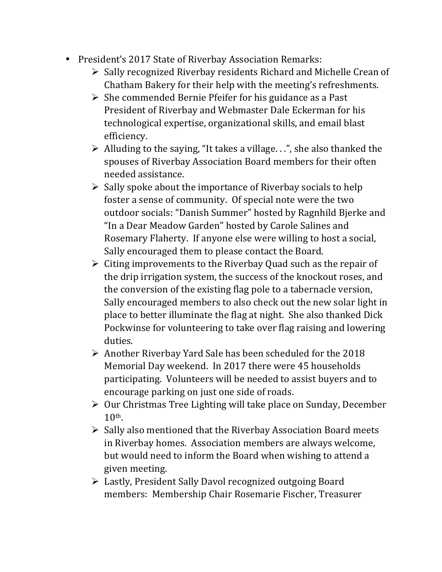- President's 2017 State of Riverbay Association Remarks:
	- $\triangleright$  Sally recognized Riverbay residents Richard and Michelle Crean of Chatham Bakery for their help with the meeting's refreshments.
	- $\triangleright$  She commended Bernie Pfeifer for his guidance as a Past President of Riverbay and Webmaster Dale Eckerman for his technological expertise, organizational skills, and email blast efficiency.
	- $\triangleright$  Alluding to the saying, "It takes a village. . .", she also thanked the spouses of Riverbay Association Board members for their often needed assistance.
	- $\triangleright$  Sally spoke about the importance of Riverbay socials to help foster a sense of community. Of special note were the two outdoor socials: "Danish Summer" hosted by Ragnhild Bjerke and "In a Dear Meadow Garden" hosted by Carole Salines and Rosemary Flaherty. If anyone else were willing to host a social, Sally encouraged them to please contact the Board.
	- $\triangleright$  Citing improvements to the Riverbay Quad such as the repair of the drip irrigation system, the success of the knockout roses, and the conversion of the existing flag pole to a tabernacle version, Sally encouraged members to also check out the new solar light in place to better illuminate the flag at night. She also thanked Dick Pockwinse for volunteering to take over flag raising and lowering duties.
	- $\triangleright$  Another Riverbay Yard Sale has been scheduled for the 2018 Memorial Day weekend. In 2017 there were 45 households participating. Volunteers will be needed to assist buyers and to encourage parking on just one side of roads.
	- $\triangleright$  Our Christmas Tree Lighting will take place on Sunday, December  $10<sup>th</sup>$ .
	- $\triangleright$  Sally also mentioned that the Riverbay Association Board meets in Riverbay homes. Association members are always welcome, but would need to inform the Board when wishing to attend a given meeting.
	- $\triangleright$  Lastly, President Sally Davol recognized outgoing Board members: Membership Chair Rosemarie Fischer, Treasurer